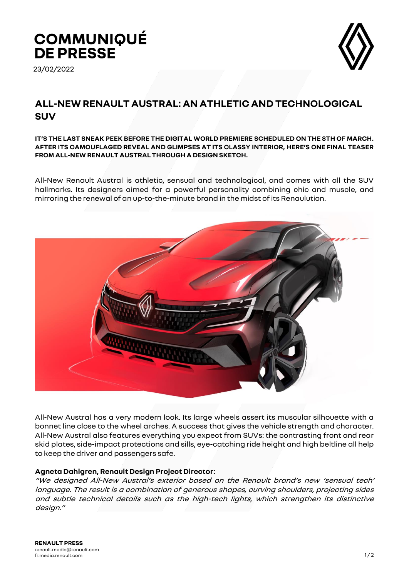# **COMMUNIQUÉ DE PRESSE**

23/02/2022



# **ALL-NEW RENAULT AUSTRAL: AN ATHLETIC AND TECHNOLOGICAL SUV**

#### **IT'S THE LAST SNEAK PEEK BEFORE THE DIGITAL WORLD PREMIERE SCHEDULED ON THE 8TH OF MARCH. AFTER ITS CAMOUFLAGED REVEAL AND GLIMPSES AT ITS CLASSY INTERIOR, HERE'S ONE FINAL TEASER FROM ALL-NEW RENAULT AUSTRAL THROUGH A DESIGN SKETCH.**

All-New Renault Austral is athletic, sensual and technological, and comes with all the SUV hallmarks. Its designers aimed for a powerful personality combining chic and muscle, and mirroring the renewal of an up-to-the-minute brand in the midst of its Renaulution.



All-New Austral has a very modern look. Its large wheels assert its muscular silhouette with a bonnet line close to the wheel arches. A success that gives the vehicle strength and character. All-New Austral also features everything you expect from SUVs: the contrasting front and rear skid plates, side-impact protections and sills, eye-catching ride height and high beltline all help to keep the driver and passengers safe.

# **Agneta Dahlgren, Renault Design Project Director:**

"We designed All-New Austral's exterior based on the Renault brand's new 'sensual tech' language. The result is a combination of generous shapes, curving shoulders, projecting sides and subtle technical details such as the high-tech lights, which strengthen its distinctive design."